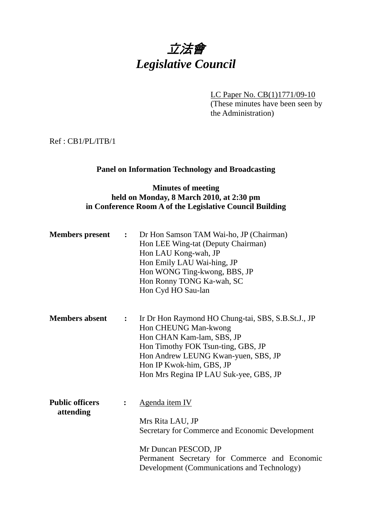# 立法會 *Legislative Council*

LC Paper No. CB(1)1771/09-10 (These minutes have been seen by the Administration)

Ref : CB1/PL/ITB/1

## **Panel on Information Technology and Broadcasting**

#### **Minutes of meeting held on Monday, 8 March 2010, at 2:30 pm in Conference Room A of the Legislative Council Building**

| <b>Members</b> present              | $\ddot{\cdot}$ | Dr Hon Samson TAM Wai-ho, JP (Chairman)<br>Hon LEE Wing-tat (Deputy Chairman)<br>Hon LAU Kong-wah, JP<br>Hon Emily LAU Wai-hing, JP<br>Hon WONG Ting-kwong, BBS, JP<br>Hon Ronny TONG Ka-wah, SC<br>Hon Cyd HO Sau-lan                                     |
|-------------------------------------|----------------|------------------------------------------------------------------------------------------------------------------------------------------------------------------------------------------------------------------------------------------------------------|
| <b>Members absent</b>               | $\ddot{\cdot}$ | Ir Dr Hon Raymond HO Chung-tai, SBS, S.B.St.J., JP<br>Hon CHEUNG Man-kwong<br>Hon CHAN Kam-lam, SBS, JP<br>Hon Timothy FOK Tsun-ting, GBS, JP<br>Hon Andrew LEUNG Kwan-yuen, SBS, JP<br>Hon IP Kwok-him, GBS, JP<br>Hon Mrs Regina IP LAU Suk-yee, GBS, JP |
| <b>Public officers</b><br>attending |                | Agenda item IV<br>Mrs Rita LAU, JP<br>Secretary for Commerce and Economic Development<br>Mr Duncan PESCOD, JP<br>Permanent Secretary for Commerce and Economic<br>Development (Communications and Technology)                                              |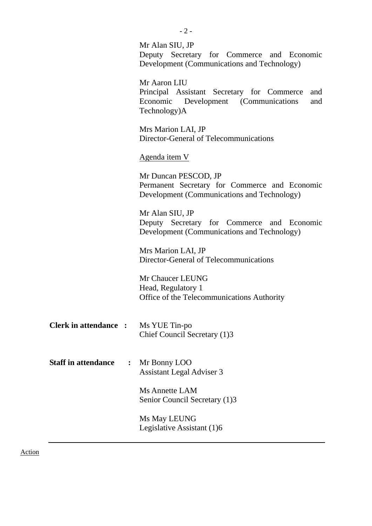|                                              | Mr Alan SIU, JP<br>Deputy Secretary for Commerce and Economic<br>Development (Communications and Technology)                     |
|----------------------------------------------|----------------------------------------------------------------------------------------------------------------------------------|
|                                              | Mr Aaron LIU<br>Principal Assistant Secretary for Commerce<br>and<br>Economic Development (Communications<br>and<br>Technology)A |
|                                              | Mrs Marion LAI, JP<br>Director-General of Telecommunications                                                                     |
|                                              | <u>Agenda item V</u>                                                                                                             |
|                                              | Mr Duncan PESCOD, JP<br>Permanent Secretary for Commerce and Economic<br>Development (Communications and Technology)             |
|                                              | Mr Alan SIU, JP<br>Deputy Secretary for Commerce and Economic<br>Development (Communications and Technology)                     |
|                                              | Mrs Marion LAI, JP<br>Director-General of Telecommunications                                                                     |
|                                              | Mr Chaucer LEUNG<br>Head, Regulatory 1<br>Office of the Telecommunications Authority                                             |
| <b>Clerk in attendance :</b>                 | Ms YUE Tin-po<br>Chief Council Secretary (1)3                                                                                    |
| <b>Staff in attendance</b><br>$\ddot{\cdot}$ | Mr Bonny LOO<br><b>Assistant Legal Adviser 3</b>                                                                                 |
|                                              | Ms Annette LAM<br>Senior Council Secretary (1)3                                                                                  |
|                                              | Ms May LEUNG<br>Legislative Assistant (1)6                                                                                       |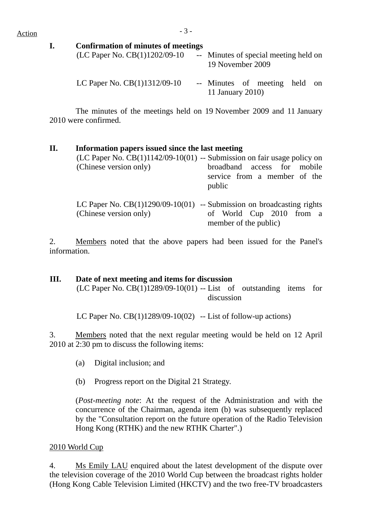| Commitmenton of numeros of incernigs<br>(LC Paper No. CB(1)1202/09-10 | 19 November 2009 | -- Minutes of special meeting held on |  |
|-----------------------------------------------------------------------|------------------|---------------------------------------|--|
| LC Paper No. $CB(1)1312/09-10$                                        | 11 January 2010) | -- Minutes of meeting held on         |  |

 The minutes of the meetings held on 19 November 2009 and 11 January 2010 were confirmed.

#### **II. Information papers issued since the last meeting**

| (Chinese version only) | (LC Paper No. $CB(1)1142/09-10(01)$ -- Submission on fair usage policy on<br>broadband access for mobile<br>service from a member of the<br>public |
|------------------------|----------------------------------------------------------------------------------------------------------------------------------------------------|
| (Chinese version only) | LC Paper No. $CB(1)1290/09-10(01)$ -- Submission on broadcasting rights<br>of World Cup 2010 from a<br>member of the public)                       |

2. Members noted that the above papers had been issued for the Panel's information.

# **III. Date of next meeting and items for discussion**

(LC Paper No.  $CB(1)1289/09-10(01)$  -- List of outstanding items for discussion

LC Paper No.  $CB(1)1289/09-10(02)$  -- List of follow-up actions)

3. Members noted that the next regular meeting would be held on 12 April 2010 at 2:30 pm to discuss the following items:

- (a) Digital inclusion; and
- (b) Progress report on the Digital 21 Strategy.

(*Post-meeting note*: At the request of the Administration and with the concurrence of the Chairman, agenda item (b) was subsequently replaced by the "Consultation report on the future operation of the Radio Television Hong Kong (RTHK) and the new RTHK Charter".)

#### 2010 World Cup

4. Ms Emily LAU enquired about the latest development of the dispute over the television coverage of the 2010 World Cup between the broadcast rights holder (Hong Kong Cable Television Limited (HKCTV) and the two free-TV broadcasters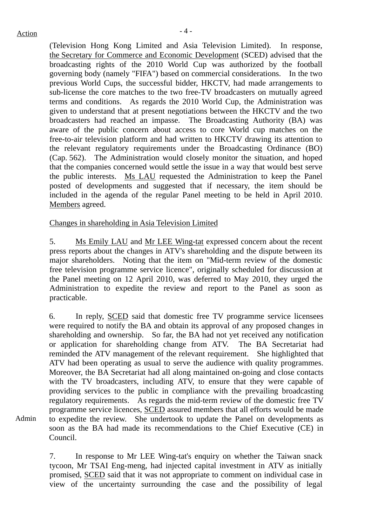Admin

(Television Hong Kong Limited and Asia Television Limited). In response, the Secretary for Commerce and Economic Development (SCED) advised that the broadcasting rights of the 2010 World Cup was authorized by the football governing body (namely "FIFA") based on commercial considerations. In the two previous World Cups, the successful bidder, HKCTV, had made arrangements to sub-license the core matches to the two free-TV broadcasters on mutually agreed terms and conditions. As regards the 2010 World Cup, the Administration was given to understand that at present negotiations between the HKCTV and the two broadcasters had reached an impasse. The Broadcasting Authority (BA) was aware of the public concern about access to core World cup matches on the free-to-air television platform and had written to HKCTV drawing its attention to the relevant regulatory requirements under the Broadcasting Ordinance (BO) (Cap. 562). The Administration would closely monitor the situation, and hoped that the companies concerned would settle the issue in a way that would best serve the public interests. Ms LAU requested the Administration to keep the Panel posted of developments and suggested that if necessary, the item should be included in the agenda of the regular Panel meeting to be held in April 2010. Members agreed.

Changes in shareholding in Asia Television Limited

5. Ms Emily LAU and Mr LEE Wing-tat expressed concern about the recent press reports about the changes in ATV's shareholding and the dispute between its major shareholders. Noting that the item on "Mid-term review of the domestic free television programme service licence", originally scheduled for discussion at the Panel meeting on 12 April 2010, was deferred to May 2010, they urged the Administration to expedite the review and report to the Panel as soon as practicable.

6. In reply, SCED said that domestic free TV programme service licensees were required to notify the BA and obtain its approval of any proposed changes in shareholding and ownership. So far, the BA had not yet received any notification or application for shareholding change from ATV. The BA Secretariat had reminded the ATV management of the relevant requirement. She highlighted that ATV had been operating as usual to serve the audience with quality programmes. Moreover, the BA Secretariat had all along maintained on-going and close contacts with the TV broadcasters, including ATV, to ensure that they were capable of providing services to the public in compliance with the prevailing broadcasting regulatory requirements. As regards the mid-term review of the domestic free TV programme service licences, SCED assured members that all efforts would be made to expedite the review. She undertook to update the Panel on developments as soon as the BA had made its recommendations to the Chief Executive (CE) in Council.

7. In response to Mr LEE Wing-tat's enquiry on whether the Taiwan snack tycoon, Mr TSAI Eng-meng, had injected capital investment in ATV as initially promised, SCED said that it was not appropriate to comment on individual case in view of the uncertainty surrounding the case and the possibility of legal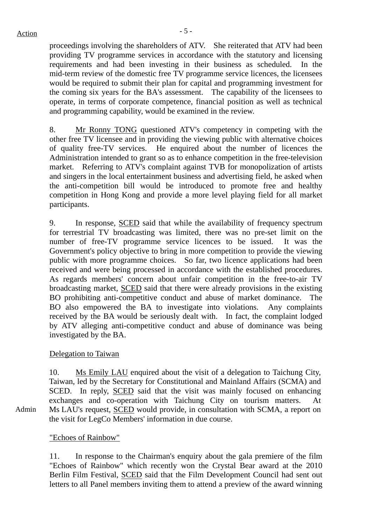proceedings involving the shareholders of ATV. She reiterated that ATV had been providing TV programme services in accordance with the statutory and licensing requirements and had been investing in their business as scheduled. In the mid-term review of the domestic free TV programme service licences, the licensees would be required to submit their plan for capital and programming investment for the coming six years for the BA's assessment. The capability of the licensees to operate, in terms of corporate competence, financial position as well as technical and programming capability, would be examined in the review.

8. Mr Ronny TONG questioned ATV's competency in competing with the other free TV licensee and in providing the viewing public with alternative choices of quality free-TV services. He enquired about the number of licences the Administration intended to grant so as to enhance competition in the free-television market. Referring to ATV's complaint against TVB for monopolization of artists and singers in the local entertainment business and advertising field, he asked when the anti-competition bill would be introduced to promote free and healthy competition in Hong Kong and provide a more level playing field for all market participants.

9. In response, SCED said that while the availability of frequency spectrum for terrestrial TV broadcasting was limited, there was no pre-set limit on the number of free-TV programme service licences to be issued. It was the Government's policy objective to bring in more competition to provide the viewing public with more programme choices. So far, two licence applications had been received and were being processed in accordance with the established procedures. As regards members' concern about unfair competition in the free-to-air TV broadcasting market, SCED said that there were already provisions in the existing BO prohibiting anti-competitive conduct and abuse of market dominance. The BO also empowered the BA to investigate into violations. Any complaints received by the BA would be seriously dealt with. In fact, the complaint lodged by ATV alleging anti-competitive conduct and abuse of dominance was being investigated by the BA.

#### Delegation to Taiwan

10. Ms Emily LAU enquired about the visit of a delegation to Taichung City, Taiwan, led by the Secretary for Constitutional and Mainland Affairs (SCMA) and SCED. In reply, SCED said that the visit was mainly focused on enhancing exchanges and co-operation with Taichung City on tourism matters. At Ms LAU's request, SCED would provide, in consultation with SCMA, a report on the visit for LegCo Members' information in due course.

"Echoes of Rainbow"

Admin

11. In response to the Chairman's enquiry about the gala premiere of the film "Echoes of Rainbow" which recently won the Crystal Bear award at the 2010 Berlin Film Festival, SCED said that the Film Development Council had sent out letters to all Panel members inviting them to attend a preview of the award winning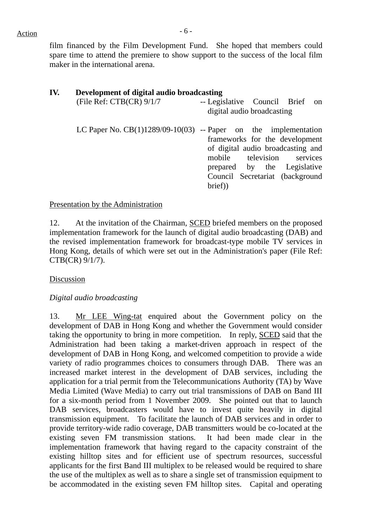film financed by the Film Development Fund. She hoped that members could spare time to attend the premiere to show support to the success of the local film maker in the international arena.

| IV. | Development of digital audio broadcasting |                                                                                                                                                                                                                                                    |  |  |  |  |  |
|-----|-------------------------------------------|----------------------------------------------------------------------------------------------------------------------------------------------------------------------------------------------------------------------------------------------------|--|--|--|--|--|
|     | (File Ref: $CTB(CR)$ ) 9/1/7              | -- Legislative Council Brief on<br>digital audio broadcasting                                                                                                                                                                                      |  |  |  |  |  |
|     |                                           | LC Paper No. $CB(1)1289/09-10(03)$ -- Paper on the implementation<br>frameworks for the development<br>of digital audio broadcasting and<br>mobile television services<br>prepared by the Legislative<br>Council Secretariat (background<br>brief) |  |  |  |  |  |

Presentation by the Administration

12. At the invitation of the Chairman, SCED briefed members on the proposed implementation framework for the launch of digital audio broadcasting (DAB) and the revised implementation framework for broadcast-type mobile TV services in Hong Kong, details of which were set out in the Administration's paper (File Ref: CTB(CR) 9/1/7).

Discussion

*Digital audio broadcasting* 

13. Mr LEE Wing-tat enquired about the Government policy on the development of DAB in Hong Kong and whether the Government would consider taking the opportunity to bring in more competition. In reply, SCED said that the Administration had been taking a market-driven approach in respect of the development of DAB in Hong Kong, and welcomed competition to provide a wide variety of radio programmes choices to consumers through DAB. There was an increased market interest in the development of DAB services, including the application for a trial permit from the Telecommunications Authority (TA) by Wave Media Limited (Wave Media) to carry out trial transmissions of DAB on Band III for a six-month period from 1 November 2009. She pointed out that to launch DAB services, broadcasters would have to invest quite heavily in digital transmission equipment. To facilitate the launch of DAB services and in order to provide territory-wide radio coverage, DAB transmitters would be co-located at the existing seven FM transmission stations. It had been made clear in the implementation framework that having regard to the capacity constraint of the existing hilltop sites and for efficient use of spectrum resources, successful applicants for the first Band III multiplex to be released would be required to share the use of the multiplex as well as to share a single set of transmission equipment to be accommodated in the existing seven FM hilltop sites. Capital and operating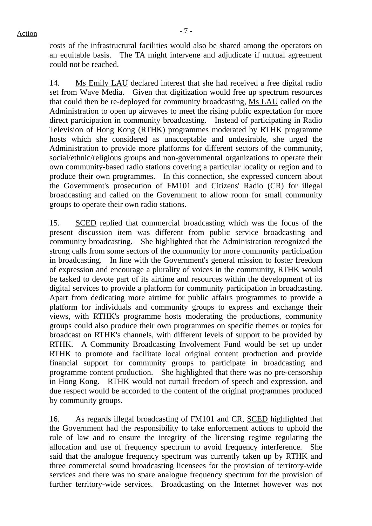costs of the infrastructural facilities would also be shared among the operators on an equitable basis. The TA might intervene and adjudicate if mutual agreement could not be reached.

14. Ms Emily LAU declared interest that she had received a free digital radio set from Wave Media. Given that digitization would free up spectrum resources that could then be re-deployed for community broadcasting, Ms LAU called on the Administration to open up airwaves to meet the rising public expectation for more direct participation in community broadcasting. Instead of participating in Radio Television of Hong Kong (RTHK) programmes moderated by RTHK programme hosts which she considered as unacceptable and undesirable, she urged the Administration to provide more platforms for different sectors of the community, social/ethnic/religious groups and non-governmental organizations to operate their own community-based radio stations covering a particular locality or region and to produce their own programmes. In this connection, she expressed concern about the Government's prosecution of FM101 and Citizens' Radio (CR) for illegal broadcasting and called on the Government to allow room for small community groups to operate their own radio stations.

15. SCED replied that commercial broadcasting which was the focus of the present discussion item was different from public service broadcasting and community broadcasting. She highlighted that the Administration recognized the strong calls from some sectors of the community for more community participation in broadcasting. In line with the Government's general mission to foster freedom of expression and encourage a plurality of voices in the community, RTHK would be tasked to devote part of its airtime and resources within the development of its digital services to provide a platform for community participation in broadcasting. Apart from dedicating more airtime for public affairs programmes to provide a platform for individuals and community groups to express and exchange their views, with RTHK's programme hosts moderating the productions, community groups could also produce their own programmes on specific themes or topics for broadcast on RTHK's channels, with different levels of support to be provided by RTHK. A Community Broadcasting Involvement Fund would be set up under RTHK to promote and facilitate local original content production and provide financial support for community groups to participate in broadcasting and programme content production. She highlighted that there was no pre-censorship in Hong Kong. RTHK would not curtail freedom of speech and expression, and due respect would be accorded to the content of the original programmes produced by community groups.

16. As regards illegal broadcasting of FM101 and CR, SCED highlighted that the Government had the responsibility to take enforcement actions to uphold the rule of law and to ensure the integrity of the licensing regime regulating the allocation and use of frequency spectrum to avoid frequency interference. She said that the analogue frequency spectrum was currently taken up by RTHK and three commercial sound broadcasting licensees for the provision of territory-wide services and there was no spare analogue frequency spectrum for the provision of further territory-wide services. Broadcasting on the Internet however was not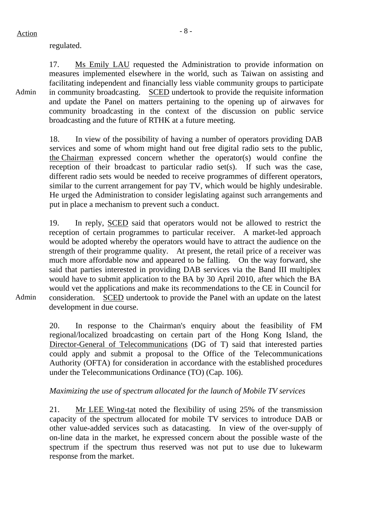regulated.

Admin 17. Ms Emily LAU requested the Administration to provide information on measures implemented elsewhere in the world, such as Taiwan on assisting and facilitating independent and financially less viable community groups to participate in community broadcasting. SCED undertook to provide the requisite information and update the Panel on matters pertaining to the opening up of airwaves for community broadcasting in the context of the discussion on public service broadcasting and the future of RTHK at a future meeting.

> 18. In view of the possibility of having a number of operators providing DAB services and some of whom might hand out free digital radio sets to the public, the Chairman expressed concern whether the operator(s) would confine the reception of their broadcast to particular radio set(s). If such was the case, different radio sets would be needed to receive programmes of different operators, similar to the current arrangement for pay TV, which would be highly undesirable. He urged the Administration to consider legislating against such arrangements and put in place a mechanism to prevent such a conduct.

19. In reply, SCED said that operators would not be allowed to restrict the reception of certain programmes to particular receiver. A market-led approach would be adopted whereby the operators would have to attract the audience on the strength of their programme quality. At present, the retail price of a receiver was much more affordable now and appeared to be falling. On the way forward, she said that parties interested in providing DAB services via the Band III multiplex would have to submit application to the BA by 30 April 2010, after which the BA would vet the applications and make its recommendations to the CE in Council for consideration. SCED undertook to provide the Panel with an update on the latest development in due course.

Admin

20. In response to the Chairman's enquiry about the feasibility of FM regional/localized broadcasting on certain part of the Hong Kong Island, the Director-General of Telecommunications (DG of T) said that interested parties could apply and submit a proposal to the Office of the Telecommunications Authority (OFTA) for consideration in accordance with the established procedures under the Telecommunications Ordinance (TO) (Cap. 106).

#### *Maximizing the use of spectrum allocated for the launch of Mobile TV services*

21. Mr LEE Wing-tat noted the flexibility of using 25% of the transmission capacity of the spectrum allocated for mobile TV services to introduce DAB or other value-added services such as datacasting. In view of the over-supply of on-line data in the market, he expressed concern about the possible waste of the spectrum if the spectrum thus reserved was not put to use due to lukewarm response from the market.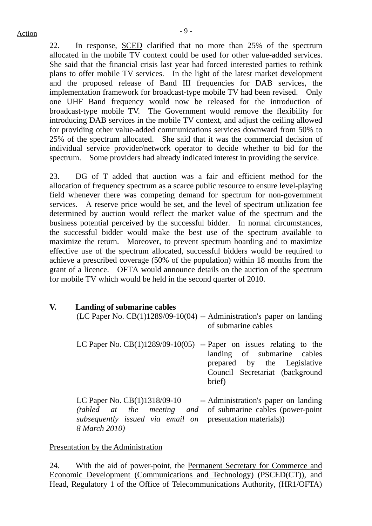22. In response, SCED clarified that no more than 25% of the spectrum allocated in the mobile TV context could be used for other value-added services. She said that the financial crisis last year had forced interested parties to rethink plans to offer mobile TV services. In the light of the latest market development and the proposed release of Band III frequencies for DAB services, the implementation framework for broadcast-type mobile TV had been revised. Only one UHF Band frequency would now be released for the introduction of broadcast-type mobile TV. The Government would remove the flexibility for introducing DAB services in the mobile TV context, and adjust the ceiling allowed for providing other value-added communications services downward from 50% to 25% of the spectrum allocated. She said that it was the commercial decision of individual service provider/network operator to decide whether to bid for the spectrum. Some providers had already indicated interest in providing the service.

23. DG of T added that auction was a fair and efficient method for the allocation of frequency spectrum as a scarce public resource to ensure level-playing field whenever there was competing demand for spectrum for non-government services. A reserve price would be set, and the level of spectrum utilization fee determined by auction would reflect the market value of the spectrum and the business potential perceived by the successful bidder. In normal circumstances, the successful bidder would make the best use of the spectrum available to maximize the return. Moreover, to prevent spectrum hoarding and to maximize effective use of the spectrum allocated, successful bidders would be required to achieve a prescribed coverage (50% of the population) within 18 months from the grant of a licence. OFTA would announce details on the auction of the spectrum for mobile TV which would be held in the second quarter of 2010.

**V. Landing of submarine cables** (LC Paper No. CB(1)1289/09-10(04) -- Administration's paper on landing of submarine cables LC Paper No.  $CB(1)1289/09-10(05)$  -- Paper on issues relating to the landing of submarine cables prepared by the Legislative

LC Paper No. CB(1)1318/09-10 *(tabled at the meeting and subsequently issued via email on*  presentation materials)) *8 March 2010)*  -- Administration's paper on landing of submarine cables (power-point

brief)

Council Secretariat (background

#### Presentation by the Administration

24. With the aid of power-point, the Permanent Secretary for Commerce and Economic Development (Communications and Technology) (PSCED(CT)), and Head, Regulatory 1 of the Office of Telecommunications Authority, (HR1/OFTA)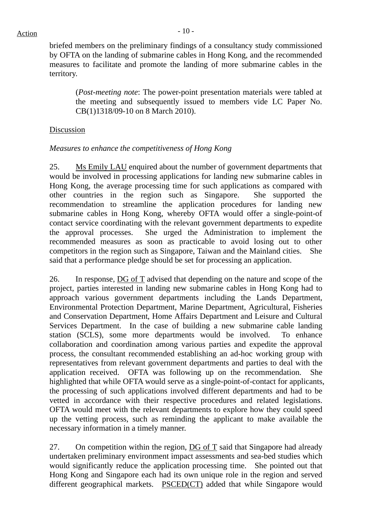briefed members on the preliminary findings of a consultancy study commissioned by OFTA on the landing of submarine cables in Hong Kong, and the recommended measures to facilitate and promote the landing of more submarine cables in the territory.

(*Post-meeting note*: The power-point presentation materials were tabled at the meeting and subsequently issued to members vide LC Paper No. CB(1)1318/09-10 on 8 March 2010).

#### **Discussion**

#### *Measures to enhance the competitiveness of Hong Kong*

25. Ms Emily LAU enquired about the number of government departments that would be involved in processing applications for landing new submarine cables in Hong Kong, the average processing time for such applications as compared with other countries in the region such as Singapore. She supported the recommendation to streamline the application procedures for landing new submarine cables in Hong Kong, whereby OFTA would offer a single-point-of contact service coordinating with the relevant government departments to expedite the approval processes. She urged the Administration to implement the recommended measures as soon as practicable to avoid losing out to other competitors in the region such as Singapore, Taiwan and the Mainland cities. She said that a performance pledge should be set for processing an application.

26. In response, DG of T advised that depending on the nature and scope of the project, parties interested in landing new submarine cables in Hong Kong had to approach various government departments including the Lands Department, Environmental Protection Department, Marine Department, Agricultural, Fisheries and Conservation Department, Home Affairs Department and Leisure and Cultural Services Department. In the case of building a new submarine cable landing station (SCLS), some more departments would be involved. To enhance collaboration and coordination among various parties and expedite the approval process, the consultant recommended establishing an ad-hoc working group with representatives from relevant government departments and parties to deal with the application received. OFTA was following up on the recommendation. She highlighted that while OFTA would serve as a single-point-of-contact for applicants, the processing of such applications involved different departments and had to be vetted in accordance with their respective procedures and related legislations. OFTA would meet with the relevant departments to explore how they could speed up the vetting process, such as reminding the applicant to make available the necessary information in a timely manner.

27. On competition within the region, DG of T said that Singapore had already undertaken preliminary environment impact assessments and sea-bed studies which would significantly reduce the application processing time. She pointed out that Hong Kong and Singapore each had its own unique role in the region and served different geographical markets. PSCED(CT) added that while Singapore would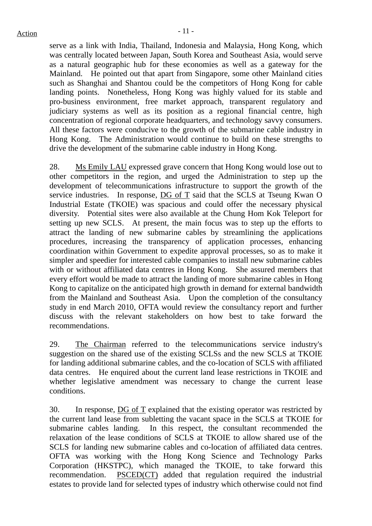serve as a link with India, Thailand, Indonesia and Malaysia, Hong Kong, which was centrally located between Japan, South Korea and Southeast Asia, would serve as a natural geographic hub for these economies as well as a gateway for the Mainland. He pointed out that apart from Singapore, some other Mainland cities such as Shanghai and Shantou could be the competitors of Hong Kong for cable landing points. Nonetheless, Hong Kong was highly valued for its stable and pro-business environment, free market approach, transparent regulatory and judiciary systems as well as its position as a regional financial centre, high concentration of regional corporate headquarters, and technology savvy consumers. All these factors were conducive to the growth of the submarine cable industry in Hong Kong. The Administration would continue to build on these strengths to drive the development of the submarine cable industry in Hong Kong.

28. Ms Emily LAU expressed grave concern that Hong Kong would lose out to other competitors in the region, and urged the Administration to step up the development of telecommunications infrastructure to support the growth of the service industries. In response, DG of T said that the SCLS at Tseung Kwan O Industrial Estate (TKOIE) was spacious and could offer the necessary physical diversity. Potential sites were also available at the Chung Hom Kok Teleport for setting up new SCLS. At present, the main focus was to step up the efforts to attract the landing of new submarine cables by streamlining the applications procedures, increasing the transparency of application processes, enhancing coordination within Government to expedite approval processes, so as to make it simpler and speedier for interested cable companies to install new submarine cables with or without affiliated data centres in Hong Kong. She assured members that every effort would be made to attract the landing of more submarine cables in Hong Kong to capitalize on the anticipated high growth in demand for external bandwidth from the Mainland and Southeast Asia. Upon the completion of the consultancy study in end March 2010, OFTA would review the consultancy report and further discuss with the relevant stakeholders on how best to take forward the recommendations.

29. The Chairman referred to the telecommunications service industry's suggestion on the shared use of the existing SCLSs and the new SCLS at TKOIE for landing additional submarine cables, and the co-location of SCLS with affiliated data centres. He enquired about the current land lease restrictions in TKOIE and whether legislative amendment was necessary to change the current lease conditions.

30. In response, DG of T explained that the existing operator was restricted by the current land lease from subletting the vacant space in the SCLS at TKOIE for submarine cables landing. In this respect, the consultant recommended the relaxation of the lease conditions of SCLS at TKOIE to allow shared use of the SCLS for landing new submarine cables and co-location of affiliated data centres. OFTA was working with the Hong Kong Science and Technology Parks Corporation (HKSTPC), which managed the TKOIE, to take forward this recommendation. PSCED(CT) added that regulation required the industrial estates to provide land for selected types of industry which otherwise could not find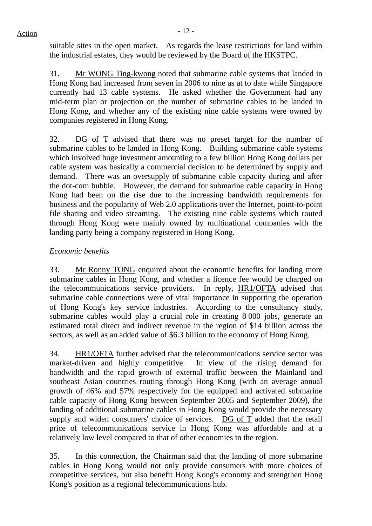suitable sites in the open market. As regards the lease restrictions for land within the industrial estates, they would be reviewed by the Board of the HKSTPC.

31. Mr WONG Ting-kwong noted that submarine cable systems that landed in Hong Kong had increased from seven in 2006 to nine as at to date while Singapore currently had 13 cable systems. He asked whether the Government had any mid-term plan or projection on the number of submarine cables to be landed in Hong Kong, and whether any of the existing nine cable systems were owned by companies registered in Hong Kong.

32. DG of T advised that there was no preset target for the number of submarine cables to be landed in Hong Kong. Building submarine cable systems which involved huge investment amounting to a few billion Hong Kong dollars per cable system was basically a commercial decision to be determined by supply and demand. There was an oversupply of submarine cable capacity during and after the dot-com bubble. However, the demand for submarine cable capacity in Hong Kong had been on the rise due to the increasing bandwidth requirements for business and the popularity of Web 2.0 applications over the Internet, point-to-point file sharing and video streaming. The existing nine cable systems which routed through Hong Kong were mainly owned by multinational companies with the landing party being a company registered in Hong Kong.

## *Economic benefits*

33. Mr Ronny TONG enquired about the economic benefits for landing more submarine cables in Hong Kong, and whether a licence fee would be charged on the telecommunications service providers. In reply, HR1/OFTA advised that submarine cable connections were of vital importance in supporting the operation of Hong Kong's key service industries. According to the consultancy study, submarine cables would play a crucial role in creating 8 000 jobs, generate an estimated total direct and indirect revenue in the region of \$14 billion across the sectors, as well as an added value of \$6.3 billion to the economy of Hong Kong.

34. HR1/OFTA further advised that the telecommunications service sector was market-driven and highly competitive. In view of the rising demand for bandwidth and the rapid growth of external traffic between the Mainland and southeast Asian countries routing through Hong Kong (with an average annual growth of 46% and 57% respectively for the equipped and activated submarine cable capacity of Hong Kong between September 2005 and September 2009), the landing of additional submarine cables in Hong Kong would provide the necessary supply and widen consumers' choice of services. DG of T added that the retail price of telecommunications service in Hong Kong was affordable and at a relatively low level compared to that of other economies in the region.

35. In this connection, the Chairman said that the landing of more submarine cables in Hong Kong would not only provide consumers with more choices of competitive services, but also benefit Hong Kong's economy and strengthen Hong Kong's position as a regional telecommunications hub.